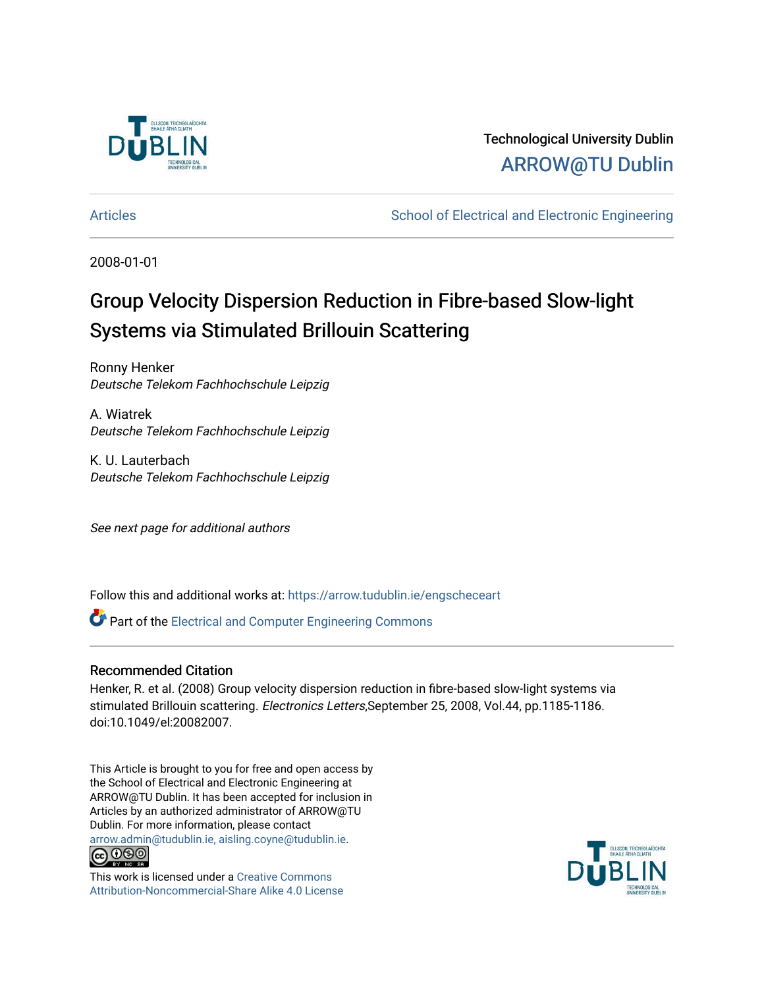

Technological University Dublin [ARROW@TU Dublin](https://arrow.tudublin.ie/) 

[Articles](https://arrow.tudublin.ie/engscheceart) **School of Electrical and Electronic Engineering** School of Electronic Engineering

2008-01-01

# Group Velocity Dispersion Reduction in Fibre-based Slow-light Systems via Stimulated Brillouin Scattering

Ronny Henker Deutsche Telekom Fachhochschule Leipzig

A. Wiatrek Deutsche Telekom Fachhochschule Leipzig

K. U. Lauterbach Deutsche Telekom Fachhochschule Leipzig

See next page for additional authors

Follow this and additional works at: [https://arrow.tudublin.ie/engscheceart](https://arrow.tudublin.ie/engscheceart?utm_source=arrow.tudublin.ie%2Fengscheceart%2F31&utm_medium=PDF&utm_campaign=PDFCoverPages)

Part of the [Electrical and Computer Engineering Commons](http://network.bepress.com/hgg/discipline/266?utm_source=arrow.tudublin.ie%2Fengscheceart%2F31&utm_medium=PDF&utm_campaign=PDFCoverPages) 

## Recommended Citation

Henker, R. et al. (2008) Group velocity dispersion reduction in fibre-based slow-light systems via stimulated Brillouin scattering. Electronics Letters,September 25, 2008, Vol.44, pp.1185-1186. doi:10.1049/el:20082007.

This Article is brought to you for free and open access by the School of Electrical and Electronic Engineering at ARROW@TU Dublin. It has been accepted for inclusion in Articles by an authorized administrator of ARROW@TU Dublin. For more information, please contact [arrow.admin@tudublin.ie, aisling.coyne@tudublin.ie](mailto:arrow.admin@tudublin.ie,%20aisling.coyne@tudublin.ie).



This work is licensed under a [Creative Commons](http://creativecommons.org/licenses/by-nc-sa/4.0/) [Attribution-Noncommercial-Share Alike 4.0 License](http://creativecommons.org/licenses/by-nc-sa/4.0/)

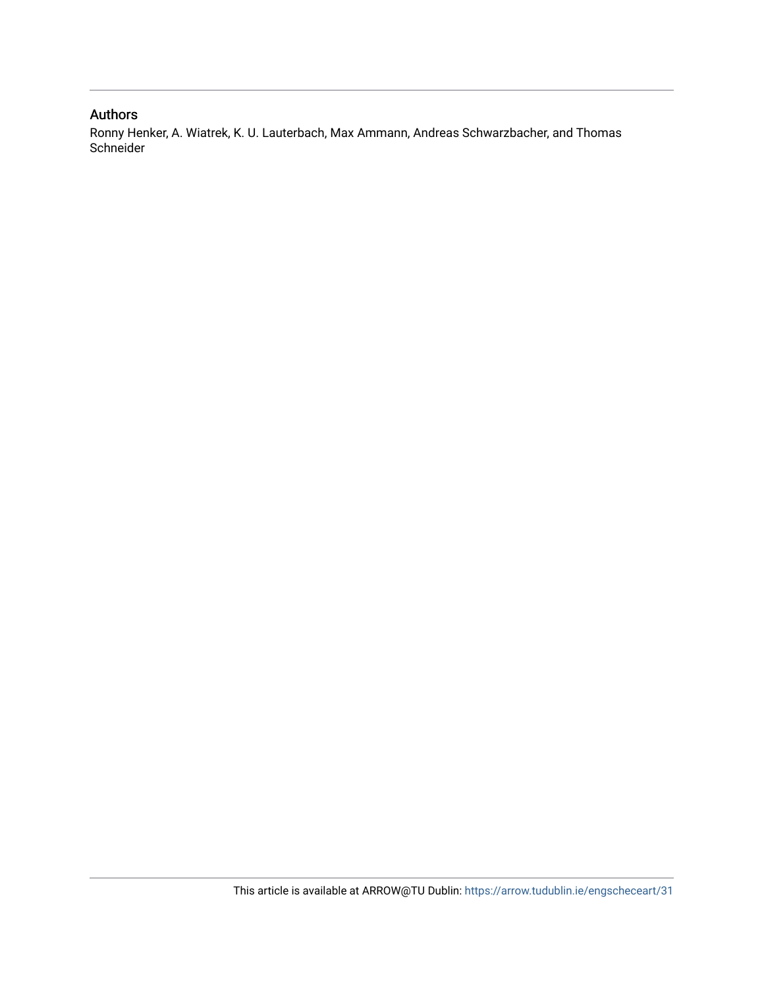## Authors

Ronny Henker, A. Wiatrek, K. U. Lauterbach, Max Ammann, Andreas Schwarzbacher, and Thomas Schneider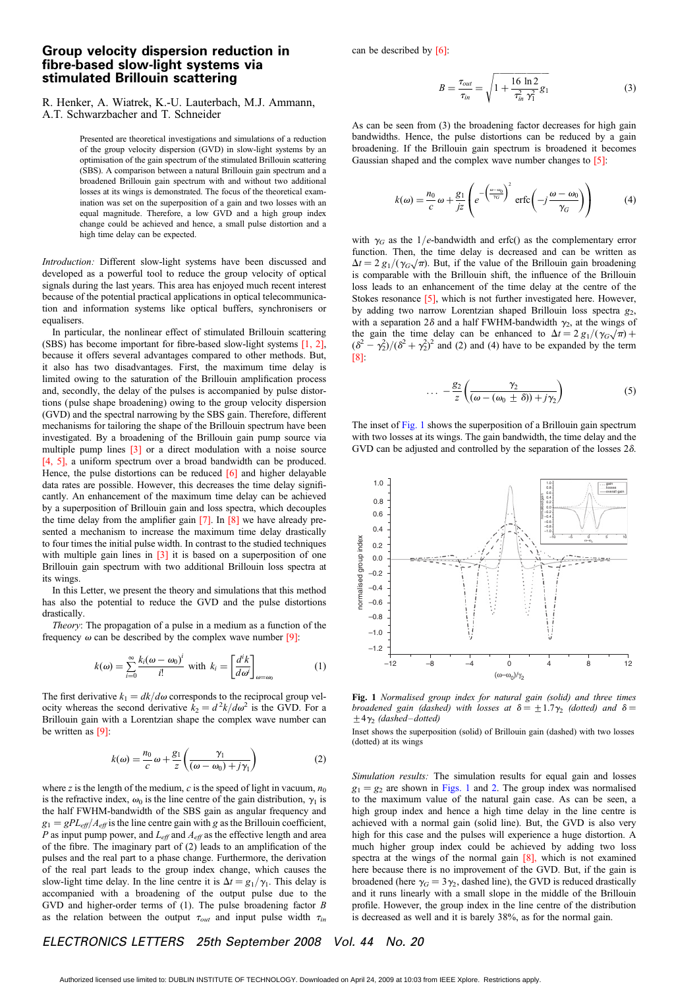#### Group velocity dispersion reduction in fibre-based slow-light systems via stimulated Brillouin scattering

can be described by  $[6]$ :

R. Henker, A. Wiatrek, K.-U. Lauterbach, M.J. Ammann, A.T. Schwarzbacher and T. Schneider

Presented are theoretical investigations and simulations of a reduction of the group velocity dispersion (GVD) in slow-light systems by an optimisation of the gain spectrum of the stimulated Brillouin scattering (SBS). A comparison between a natural Brillouin gain spectrum and a broadened Brillouin gain spectrum with and without two additional losses at its wings is demonstrated. The focus of the theoretical examination was set on the superposition of a gain and two losses with an equal magnitude. Therefore, a low GVD and a high group index change could be achieved and hence, a small pulse distortion and a high time delay can be expected.

Introduction: Different slow-light systems have been discussed and developed as a powerful tool to reduce the group velocity of optical signals during the last years. This area has enjoyed much recent interest because of the potential practical applications in optical telecommunication and information systems like optical buffers, synchronisers or equalisers.

In particular, the nonlinear effect of stimulated Brillouin scattering (SBS) has become important for fibre-based slow-light systems [1, 2], because it offers several advantages compared to other methods. But, it also has two disadvantages. First, the maximum time delay is limited owing to the saturation of the Brillouin amplification process and, secondly, the delay of the pulses is accompanied by pulse distortions (pulse shape broadening) owing to the group velocity dispersion (GVD) and the spectral narrowing by the SBS gain. Therefore, different mechanisms for tailoring the shape of the Brillouin spectrum have been investigated. By a broadening of the Brillouin gain pump source via multiple pump lines [3] or a direct modulation with a noise source [4, 5], a uniform spectrum over a broad bandwidth can be produced. Hence, the pulse distortions can be reduced  $[6]$  and higher delayable data rates are possible. However, this decreases the time delay significantly. An enhancement of the maximum time delay can be achieved by a superposition of Brillouin gain and loss spectra, which decouples the time delay from the amplifier gain  $[7]$ . In  $[8]$  we have already presented a mechanism to increase the maximum time delay drastically to four times the initial pulse width. In contrast to the studied techniques with multiple gain lines in  $\boxed{3}$  it is based on a superposition of one Brillouin gain spectrum with two additional Brillouin loss spectra at its wings.

In this Letter, we present the theory and simulations that this method has also the potential to reduce the GVD and the pulse distortions drastically.

Theory: The propagation of a pulse in a medium as a function of the frequency  $\omega$  can be described by the complex wave number [9]:

$$
k(\omega) = \sum_{i=0}^{\infty} \frac{k_i(\omega - \omega_0)^i}{i!} \text{ with } k_i = \left[\frac{d^ik}{d\omega^i}\right]_{\omega = \omega_0} \tag{1}
$$

The first derivative  $k_1 = dk/d\omega$  corresponds to the reciprocal group velocity whereas the second derivative  $k_2 = d^2k/d\omega^2$  is the GVD. For a Brillouin gain with a Lorentzian shape the complex wave number can be written as [9]:

$$
k(\omega) = \frac{n_0}{c} \omega + \frac{g_1}{z} \left( \frac{\gamma_1}{(\omega - \omega_0) + j\gamma_1} \right)
$$
 (2)

where z is the length of the medium, c is the speed of light in vacuum,  $n_0$ is the refractive index,  $\omega_0$  is the line centre of the gain distribution,  $\gamma_1$  is the half FWHM-bandwidth of the SBS gain as angular frequency and  $g_1 = gPL_{\text{eff}}/A_{\text{eff}}$  is the line centre gain with g as the Brillouin coefficient, P as input pump power, and  $L_{\text{eff}}$  and  $A_{\text{eff}}$  as the effective length and area of the fibre. The imaginary part of (2) leads to an amplification of the pulses and the real part to a phase change. Furthermore, the derivation of the real part leads to the group index change, which causes the slow-light time delay. In the line centre it is  $\Delta t = g_1/\gamma_1$ . This delay is accompanied with a broadening of the output pulse due to the GVD and higher-order terms of (1). The pulse broadening factor B as the relation between the output  $\tau_{out}$  and input pulse width  $\tau_{in}$ 

$$
B = \frac{\tau_{out}}{\tau_{in}} = \sqrt{1 + \frac{16 \ln 2}{\tau_{in}^2 \gamma_1^2} g_1}
$$
 (3)

As can be seen from (3) the broadening factor decreases for high gain bandwidths. Hence, the pulse distortions can be reduced by a gain broadening. If the Brillouin gain spectrum is broadened it becomes Gaussian shaped and the complex wave number changes to [5]:

$$
k(\omega) = \frac{n_0}{c} \omega + \frac{g_1}{jz} \left( e^{-\left(\frac{\omega - \omega_0}{\gamma_G}\right)^2} \operatorname{erfc}\left(-j\frac{\omega - \omega_0}{\gamma_G}\right) \right) \tag{4}
$$

with  $\gamma_G$  as the 1/e-bandwidth and erfc() as the complementary error function. Then, the time delay is decreased and can be written as  $\Delta t = 2 g_1/(\gamma_G \sqrt{\pi})$ . But, if the value of the Brillouin gain broadening is comparable with the Brillouin shift, the influence of the Brillouin loss leads to an enhancement of the time delay at the centre of the Stokes resonance [5], which is not further investigated here. However, by adding two narrow Lorentzian shaped Brillouin loss spectra  $g_2$ , with a separation  $2\delta$  and a half FWHM-bandwidth  $\gamma_2$ , at the wings of the gain the time delay can be enhanced to  $\Delta t = 2 g_1/(\gamma_G \sqrt{\pi}) +$  $(\delta^2 - \gamma_2^2)/(\delta^2 + \gamma_2^2)^2$  and (2) and (4) have to be expanded by the term [8]:

$$
\dots - \frac{g_2}{z} \left( \frac{\gamma_2}{(\omega - (\omega_0 \pm \delta)) + j\gamma_2} \right) \tag{5}
$$

The inset of Fig. 1 shows the superposition of a Brillouin gain spectrum with two losses at its wings. The gain bandwidth, the time delay and the GVD can be adjusted and controlled by the separation of the losses 2 $\delta$ .



Fig. 1 Normalised group index for natural gain (solid) and three times broadened gain (dashed) with losses at  $\delta = \pm 1.7\gamma_2$  (dotted) and  $\delta =$  $±4\gamma_2$  (dashed–dotted)

Inset shows the superposition (solid) of Brillouin gain (dashed) with two losses (dotted) at its wings

Simulation results: The simulation results for equal gain and losses  $g_1 = g_2$  are shown in Figs. 1 and 2. The group index was normalised to the maximum value of the natural gain case. As can be seen, a high group index and hence a high time delay in the line centre is achieved with a normal gain (solid line). But, the GVD is also very high for this case and the pulses will experience a huge distortion. A much higher group index could be achieved by adding two loss spectra at the wings of the normal gain [8], which is not examined here because there is no improvement of the GVD. But, if the gain is broadened (here  $\gamma_G = 3\gamma_2$ , dashed line), the GVD is reduced drastically and it runs linearly with a small slope in the middle of the Brillouin profile. However, the group index in the line centre of the distribution is decreased as well and it is barely 38%, as for the normal gain.

### ELECTRONICS LETTERS 25th September 2008 Vol. 44 No. 20